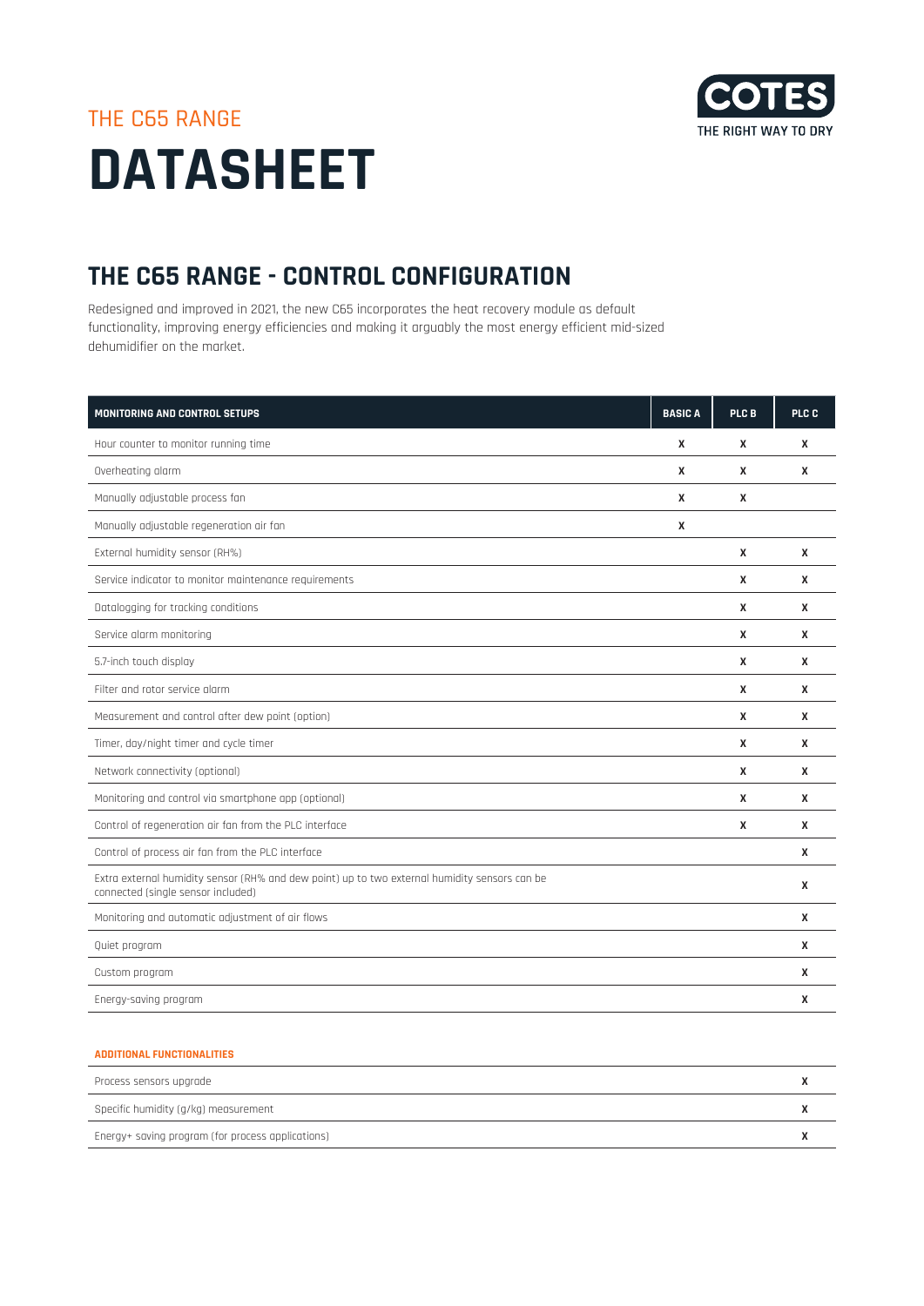

## THE C65 RANGE **DATASHEET**

## **THE C65 RANGE - CONTROL CONFIGURATION**

Redesigned and improved in 2021, the new C65 incorporates the heat recovery module as default functionality, improving energy efficiencies and making it arguably the most energy efficient mid-sized dehumidifier on the market.

| <b>MONITORING AND CONTROL SETUPS</b>                                                                                                | <b>BASIC A</b> | PLC B | PLC C |
|-------------------------------------------------------------------------------------------------------------------------------------|----------------|-------|-------|
| Hour counter to monitor running time                                                                                                | X              | X     | X     |
| Overheating alarm                                                                                                                   | X              | X     | X     |
| Manually adjustable process fan                                                                                                     | X              | X     |       |
| Manually adjustable regeneration air fan                                                                                            | X              |       |       |
| External humidity sensor (RH%)                                                                                                      |                | X     | X     |
| Service indicator to monitor maintenance requirements                                                                               |                | X     | X     |
| Datalogging for tracking conditions                                                                                                 |                | X     | X     |
| Service alarm monitoring                                                                                                            |                | X     | X     |
| 5.7-inch touch display                                                                                                              |                | X     | X     |
| Filter and rotor service alarm                                                                                                      |                | X     | X     |
| Measurement and control after dew point (option)                                                                                    |                | X     | X     |
| Timer, day/night timer and cycle timer                                                                                              |                | X     | X     |
| Network connectivity (optional)                                                                                                     |                | X     | X     |
| Monitoring and control via smartphone app (optional)                                                                                |                | X     | X     |
| Control of regeneration air fan from the PLC interface                                                                              |                | X     | X     |
| Control of process air fan from the PLC interface                                                                                   |                |       | X     |
| Extra external humidity sensor (RH% and dew point) up to two external humidity sensors can be<br>connected (single sensor included) |                |       | X     |
| Monitoring and automatic adjustment of air flows                                                                                    |                |       | X     |
| Quiet program                                                                                                                       |                |       | X     |
| Custom program                                                                                                                      |                |       | X     |
| Energy-saving program                                                                                                               |                |       | X     |

## **ADDITIONAL FUNCTIONALITIES**

| Process sensors upgrade                           |  |
|---------------------------------------------------|--|
| Specific humidity (g/kg) measurement              |  |
| Energy+ saving program (for process applications) |  |